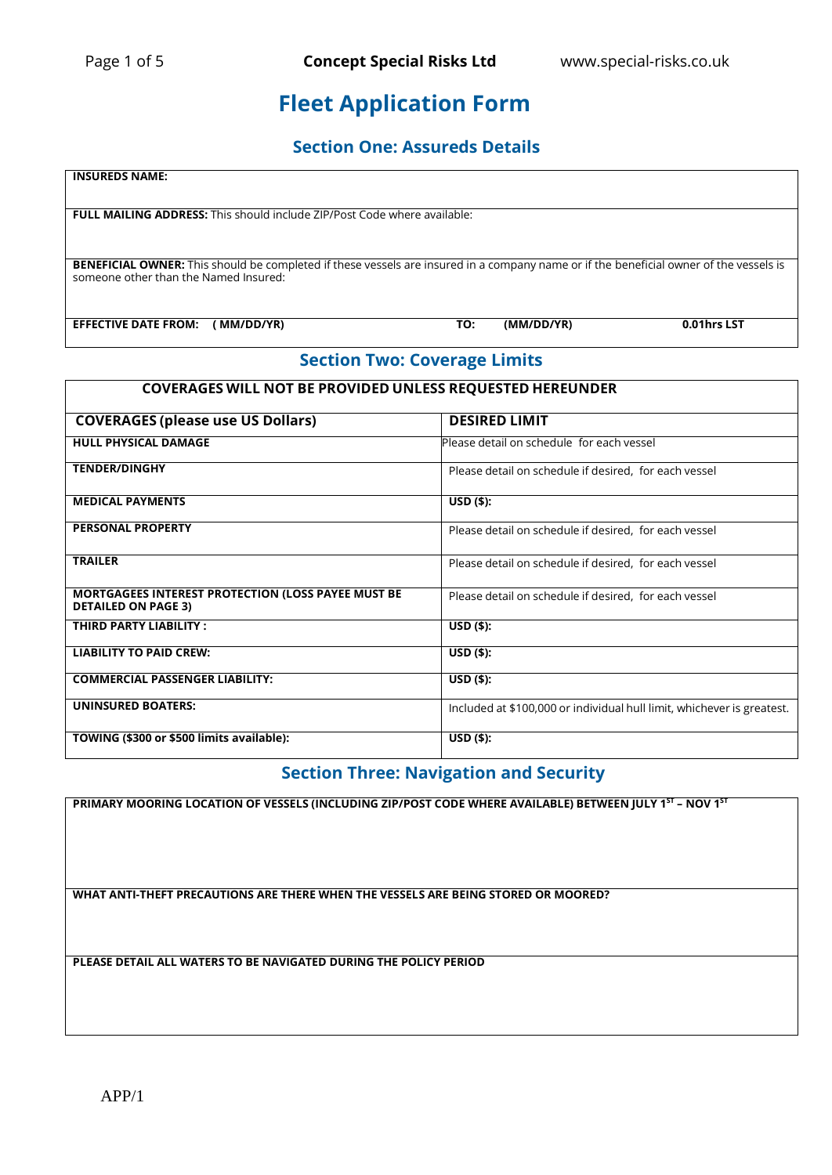## **Fleet Application Form**

### **Section One: Assureds Details**

# **INSUREDS NAME: FULL MAILING ADDRESS:** This should include ZIP/Post Code where available: **BENEFICIAL OWNER:** This should be completed if these vessels are insured in a company name or if the beneficial owner of the vessels is someone other than the Named Insured: **EFFECTIVE DATE FROM: ( MM/DD/YR) TO: (MM/DD/YR) 0.01hrs LST**

### **Section Two: Coverage Limits**

### **COVERAGES WILL NOT BE PROVIDED UNLESS REQUESTED HEREUNDER**

| <b>COVERAGES (please use US Dollars)</b>                                                | <b>DESIRED LIMIT</b>                                                   |
|-----------------------------------------------------------------------------------------|------------------------------------------------------------------------|
| <b>HULL PHYSICAL DAMAGE</b>                                                             | Please detail on schedule for each vessel                              |
| <b>TENDER/DINGHY</b>                                                                    | Please detail on schedule if desired, for each vessel                  |
| <b>MEDICAL PAYMENTS</b>                                                                 | $USD($ \$):                                                            |
| <b>PERSONAL PROPERTY</b>                                                                | Please detail on schedule if desired, for each vessel                  |
| <b>TRAILER</b>                                                                          | Please detail on schedule if desired, for each vessel                  |
| <b>MORTGAGEES INTEREST PROTECTION (LOSS PAYEE MUST BE</b><br><b>DETAILED ON PAGE 3)</b> | Please detail on schedule if desired, for each vessel                  |
| THIRD PARTY LIABILITY:                                                                  | $USD($ \$):                                                            |
| <b>LIABILITY TO PAID CREW:</b>                                                          | $USD($ \$):                                                            |
| <b>COMMERCIAL PASSENGER LIABILITY:</b>                                                  | $USD($ \$):                                                            |
| <b>UNINSURED BOATERS:</b>                                                               | Included at \$100,000 or individual hull limit, whichever is greatest. |
| TOWING (\$300 or \$500 limits available):                                               | $USD($ \$):                                                            |

### **Section Three: Navigation and Security**

**PRIMARY MOORING LOCATION OF VESSELS (INCLUDING ZIP/POST CODE WHERE AVAILABLE) BETWEEN JULY 1 ST – NOV 1 ST**

**WHAT ANTI-THEFT PRECAUTIONS ARE THERE WHEN THE VESSELS ARE BEING STORED OR MOORED?**

**PLEASE DETAIL ALL WATERS TO BE NAVIGATED DURING THE POLICY PERIOD**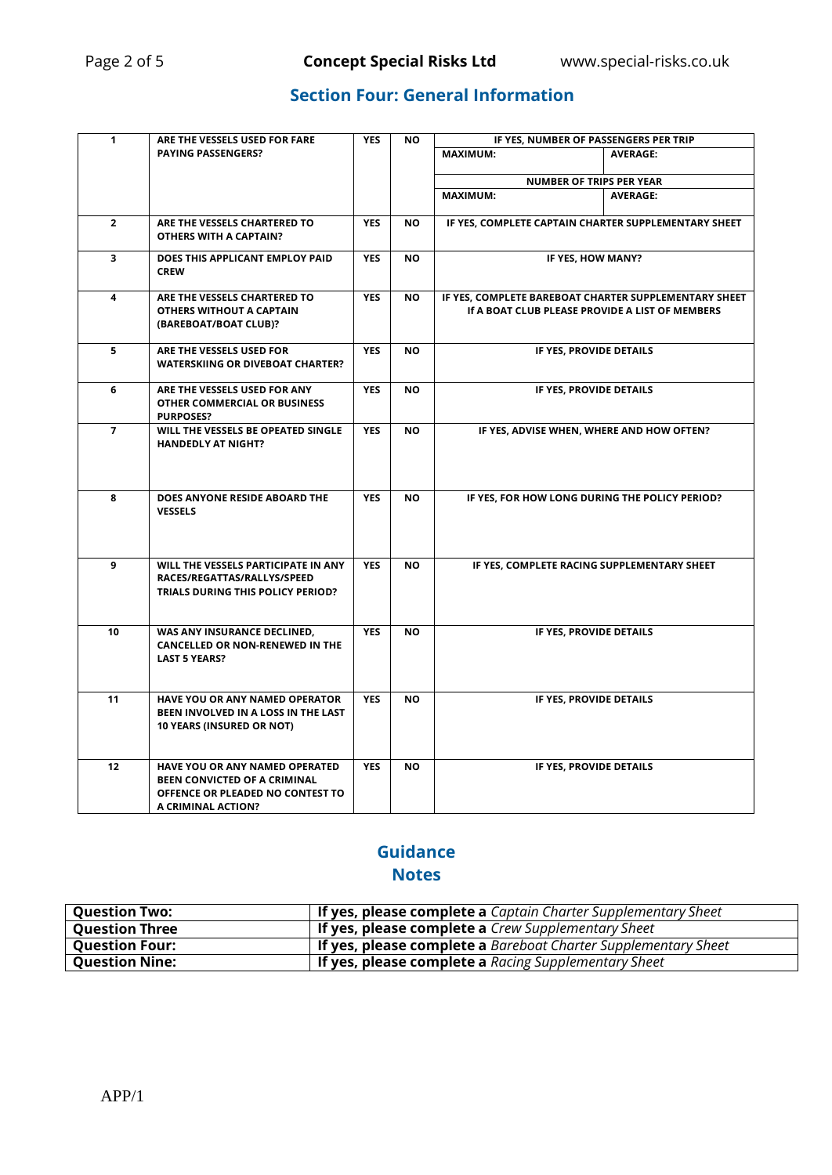### **Section Four: General Information**

| $\mathbf{1}$   | ARE THE VESSELS USED FOR FARE                                                                                                          | <b>YES</b> | <b>NO</b> | IF YES, NUMBER OF PASSENGERS PER TRIP                                                                    |                 |  |  |  |
|----------------|----------------------------------------------------------------------------------------------------------------------------------------|------------|-----------|----------------------------------------------------------------------------------------------------------|-----------------|--|--|--|
|                | <b>PAYING PASSENGERS?</b>                                                                                                              |            |           | <b>MAXIMUM:</b><br><b>AVERAGE:</b>                                                                       |                 |  |  |  |
|                |                                                                                                                                        |            |           | <b>NUMBER OF TRIPS PER YEAR</b>                                                                          |                 |  |  |  |
|                |                                                                                                                                        |            |           | <b>MAXIMUM:</b>                                                                                          | <b>AVERAGE:</b> |  |  |  |
| $\mathbf{2}$   | ARE THE VESSELS CHARTERED TO<br>OTHERS WITH A CAPTAIN?                                                                                 | <b>YES</b> | <b>NO</b> | IF YES, COMPLETE CAPTAIN CHARTER SUPPLEMENTARY SHEET                                                     |                 |  |  |  |
| 3              | DOES THIS APPLICANT EMPLOY PAID<br><b>CREW</b>                                                                                         | <b>YES</b> | <b>NO</b> | IF YES, HOW MANY?                                                                                        |                 |  |  |  |
| 4              | ARE THE VESSELS CHARTERED TO<br>OTHERS WITHOUT A CAPTAIN<br>(BAREBOAT/BOAT CLUB)?                                                      | <b>YES</b> | <b>NO</b> | IF YES, COMPLETE BAREBOAT CHARTER SUPPLEMENTARY SHEET<br>If A BOAT CLUB PLEASE PROVIDE A LIST OF MEMBERS |                 |  |  |  |
| 5              | ARE THE VESSELS USED FOR<br><b>WATERSKIING OR DIVEBOAT CHARTER?</b>                                                                    | <b>YES</b> | <b>NO</b> | IF YES, PROVIDE DETAILS                                                                                  |                 |  |  |  |
| 6              | ARE THE VESSELS USED FOR ANY<br>OTHER COMMERCIAL OR BUSINESS<br><b>PURPOSES?</b>                                                       | <b>YES</b> | <b>NO</b> | IF YES, PROVIDE DETAILS                                                                                  |                 |  |  |  |
| $\overline{7}$ | WILL THE VESSELS BE OPEATED SINGLE<br><b>HANDEDLY AT NIGHT?</b>                                                                        | <b>YES</b> | <b>NO</b> | IF YES, ADVISE WHEN, WHERE AND HOW OFTEN?                                                                |                 |  |  |  |
| 8              | DOES ANYONE RESIDE ABOARD THE<br><b>VESSELS</b>                                                                                        | <b>YES</b> | <b>NO</b> | IF YES, FOR HOW LONG DURING THE POLICY PERIOD?                                                           |                 |  |  |  |
| 9              | WILL THE VESSELS PARTICIPATE IN ANY<br>RACES/REGATTAS/RALLYS/SPEED<br>TRIALS DURING THIS POLICY PERIOD?                                | <b>YES</b> | <b>NO</b> | IF YES, COMPLETE RACING SUPPLEMENTARY SHEET                                                              |                 |  |  |  |
| 10             | WAS ANY INSURANCE DECLINED.<br>CANCELLED OR NON-RENEWED IN THE<br><b>LAST 5 YEARS?</b>                                                 | <b>YES</b> | <b>NO</b> | IF YES, PROVIDE DETAILS                                                                                  |                 |  |  |  |
| 11             | <b>HAVE YOU OR ANY NAMED OPERATOR</b><br>BEEN INVOLVED IN A LOSS IN THE LAST<br><b>10 YEARS (INSURED OR NOT)</b>                       | <b>YES</b> | <b>NO</b> | IF YES, PROVIDE DETAILS                                                                                  |                 |  |  |  |
| 12             | <b>HAVE YOU OR ANY NAMED OPERATED</b><br><b>BEEN CONVICTED OF A CRIMINAL</b><br>OFFENCE OR PLEADED NO CONTEST TO<br>A CRIMINAL ACTION? | <b>YES</b> | <b>NO</b> | IF YES, PROVIDE DETAILS                                                                                  |                 |  |  |  |

### **Guidance Notes**

| <b>Question Two:</b>  | <b>If yes, please complete a</b> Captain Charter Supplementary Sheet  |
|-----------------------|-----------------------------------------------------------------------|
| <b>Question Three</b> | <b>If yes, please complete a</b> Crew Supplementary Sheet             |
| <b>Ouestion Four:</b> | <b>If yes, please complete a</b> Bareboat Charter Supplementary Sheet |
| <b>Question Nine:</b> | <b>If yes, please complete a</b> Racing Supplementary Sheet           |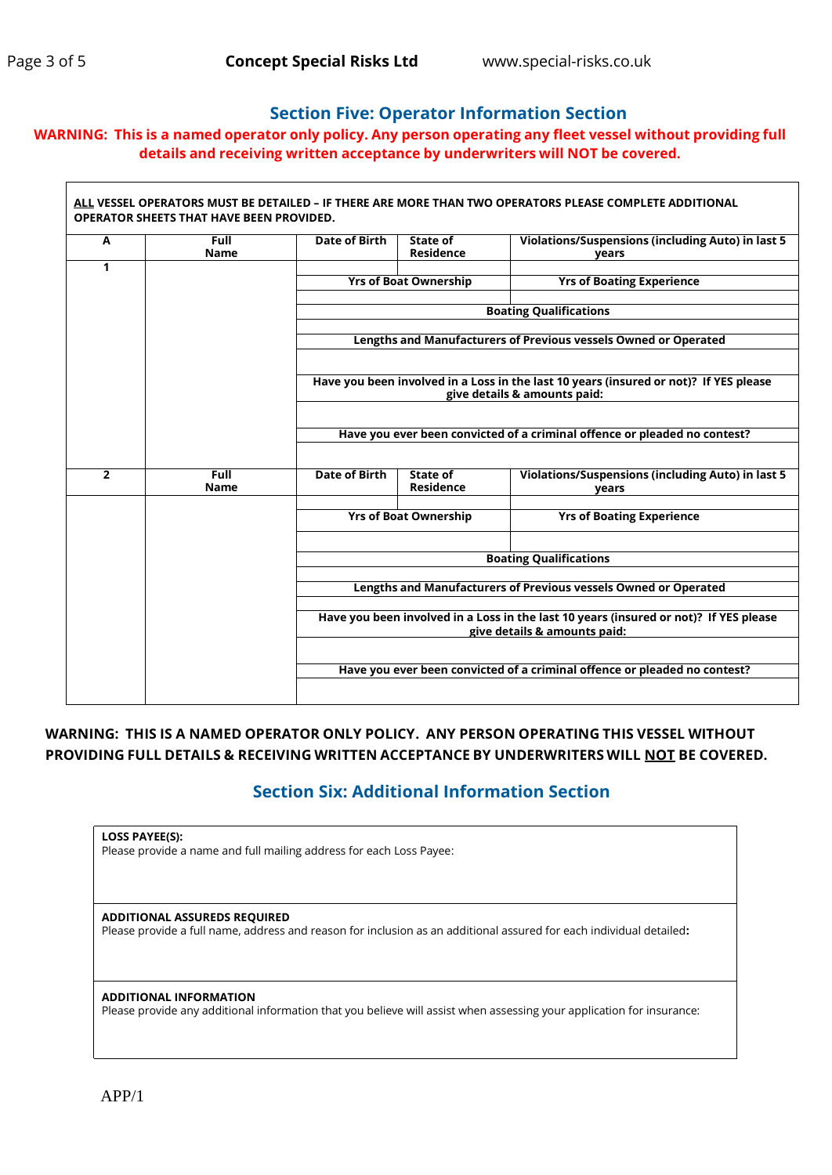### **Section Five: Operator Information Section**

### **WARNING: This is a named operator only policy. Any person operating any fleet vessel without providing full details and receiving written acceptance by underwriters will NOT be covered.**

| A              | <b>Full</b><br><b>Name</b> | <b>Date of Birth</b>                                                                                                                                                                                                      | State of<br><b>Residence</b>                                              | Violations/Suspensions (including Auto) in last 5<br>vears |  |  |  |  |
|----------------|----------------------------|---------------------------------------------------------------------------------------------------------------------------------------------------------------------------------------------------------------------------|---------------------------------------------------------------------------|------------------------------------------------------------|--|--|--|--|
| 1              |                            |                                                                                                                                                                                                                           |                                                                           |                                                            |  |  |  |  |
|                |                            |                                                                                                                                                                                                                           | <b>Yrs of Boat Ownership</b>                                              | <b>Yrs of Boating Experience</b>                           |  |  |  |  |
|                |                            |                                                                                                                                                                                                                           |                                                                           | <b>Boating Qualifications</b>                              |  |  |  |  |
|                |                            | Lengths and Manufacturers of Previous vessels Owned or Operated                                                                                                                                                           |                                                                           |                                                            |  |  |  |  |
|                |                            | Have you been involved in a Loss in the last 10 years (insured or not)? If YES please<br>give details & amounts paid:                                                                                                     |                                                                           |                                                            |  |  |  |  |
|                |                            |                                                                                                                                                                                                                           | Have you ever been convicted of a criminal offence or pleaded no contest? |                                                            |  |  |  |  |
| $\overline{2}$ | <b>Full</b><br><b>Name</b> | <b>Date of Birth</b>                                                                                                                                                                                                      | State of<br><b>Residence</b>                                              | Violations/Suspensions (including Auto) in last 5<br>years |  |  |  |  |
|                |                            |                                                                                                                                                                                                                           | <b>Yrs of Boat Ownership</b>                                              | <b>Yrs of Boating Experience</b>                           |  |  |  |  |
|                |                            | <b>Boating Qualifications</b><br>Lengths and Manufacturers of Previous vessels Owned or Operated<br>Have you been involved in a Loss in the last 10 years (insured or not)? If YES please<br>give details & amounts paid: |                                                                           |                                                            |  |  |  |  |
|                |                            |                                                                                                                                                                                                                           |                                                                           |                                                            |  |  |  |  |
|                |                            |                                                                                                                                                                                                                           |                                                                           |                                                            |  |  |  |  |
|                |                            |                                                                                                                                                                                                                           |                                                                           |                                                            |  |  |  |  |
|                |                            | Have you ever been convicted of a criminal offence or pleaded no contest?                                                                                                                                                 |                                                                           |                                                            |  |  |  |  |

### **WARNING: THIS IS A NAMED OPERATOR ONLY POLICY. ANY PERSON OPERATING THIS VESSEL WITHOUT PROVIDING FULL DETAILS & RECEIVING WRITTEN ACCEPTANCE BY UNDERWRITERS WILL NOT BE COVERED.**

### **Section Six: Additional Information Section**

**LOSS PAYEE(S):**

Please provide a name and full mailing address for each Loss Payee:

**ADDITIONAL ASSUREDS REQUIRED** Please provide a full name, address and reason for inclusion as an additional assured for each individual detailed**:**

**ADDITIONAL INFORMATION**

Please provide any additional information that you believe will assist when assessing your application for insurance: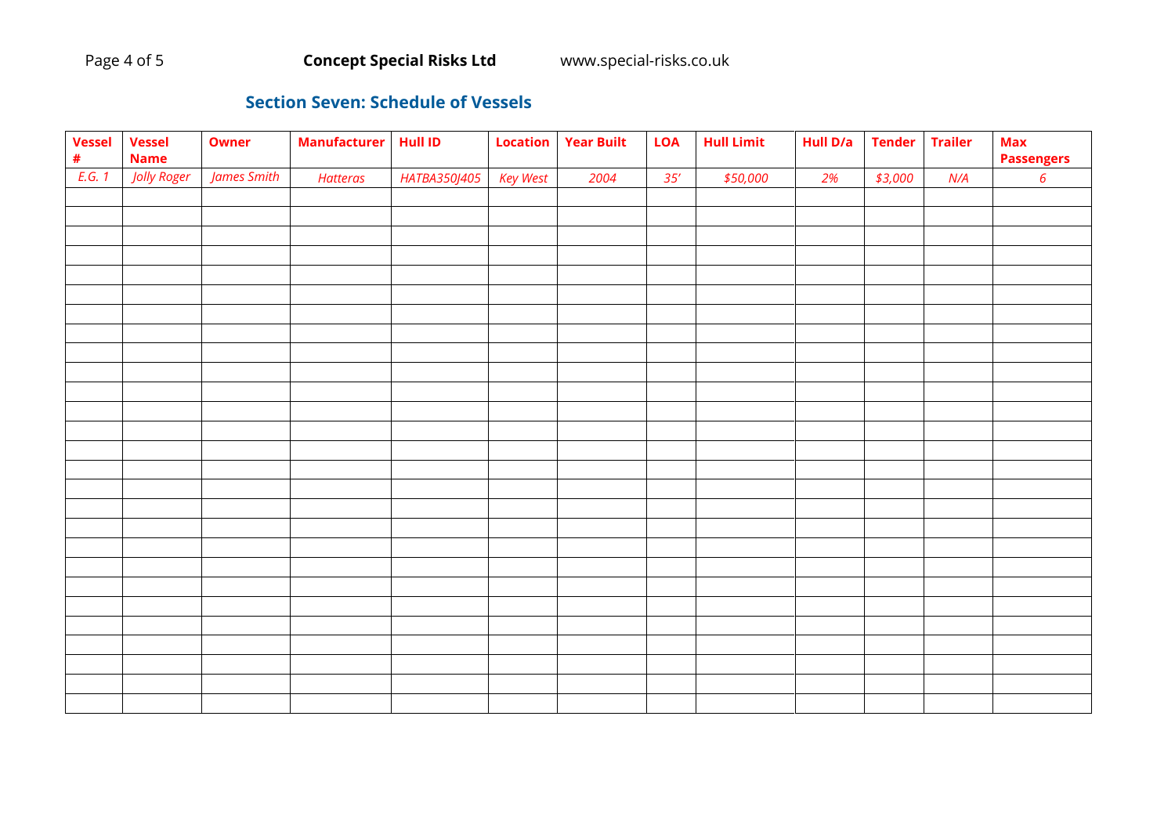### **Section Seven: Schedule of Vessels**

| <b>Vessel</b><br>$\pmb{\#}$ | <b>Vessel</b><br><b>Name</b> | <b>Owner</b> | <b>Manufacturer</b> | <b>Hull ID</b> | Location        | <b>Year Built</b> | <b>LOA</b> | <b>Hull Limit</b> | Hull D/a | <b>Tender</b> | <b>Trailer</b> | <b>Max</b><br><b>Passengers</b> |
|-----------------------------|------------------------------|--------------|---------------------|----------------|-----------------|-------------------|------------|-------------------|----------|---------------|----------------|---------------------------------|
| E.G. 1                      | Jolly Roger                  | James Smith  | <b>Hatteras</b>     | HATBA350J405   | <b>Key West</b> | 2004              | 35'        | \$50,000          | 2%       | \$3,000       | N/A            | $\boldsymbol{6}$                |
|                             |                              |              |                     |                |                 |                   |            |                   |          |               |                |                                 |
|                             |                              |              |                     |                |                 |                   |            |                   |          |               |                |                                 |
|                             |                              |              |                     |                |                 |                   |            |                   |          |               |                |                                 |
|                             |                              |              |                     |                |                 |                   |            |                   |          |               |                |                                 |
|                             |                              |              |                     |                |                 |                   |            |                   |          |               |                |                                 |
|                             |                              |              |                     |                |                 |                   |            |                   |          |               |                |                                 |
|                             |                              |              |                     |                |                 |                   |            |                   |          |               |                |                                 |
|                             |                              |              |                     |                |                 |                   |            |                   |          |               |                |                                 |
|                             |                              |              |                     |                |                 |                   |            |                   |          |               |                |                                 |
|                             |                              |              |                     |                |                 |                   |            |                   |          |               |                |                                 |
|                             |                              |              |                     |                |                 |                   |            |                   |          |               |                |                                 |
|                             |                              |              |                     |                |                 |                   |            |                   |          |               |                |                                 |
|                             |                              |              |                     |                |                 |                   |            |                   |          |               |                |                                 |
|                             |                              |              |                     |                |                 |                   |            |                   |          |               |                |                                 |
|                             |                              |              |                     |                |                 |                   |            |                   |          |               |                |                                 |
|                             |                              |              |                     |                |                 |                   |            |                   |          |               |                |                                 |
|                             |                              |              |                     |                |                 |                   |            |                   |          |               |                |                                 |
|                             |                              |              |                     |                |                 |                   |            |                   |          |               |                |                                 |
|                             |                              |              |                     |                |                 |                   |            |                   |          |               |                |                                 |
|                             |                              |              |                     |                |                 |                   |            |                   |          |               |                |                                 |
|                             |                              |              |                     |                |                 |                   |            |                   |          |               |                |                                 |
|                             |                              |              |                     |                |                 |                   |            |                   |          |               |                |                                 |
|                             |                              |              |                     |                |                 |                   |            |                   |          |               |                |                                 |
|                             |                              |              |                     |                |                 |                   |            |                   |          |               |                |                                 |
|                             |                              |              |                     |                |                 |                   |            |                   |          |               |                |                                 |
|                             |                              |              |                     |                |                 |                   |            |                   |          |               |                |                                 |
|                             |                              |              |                     |                |                 |                   |            |                   |          |               |                |                                 |